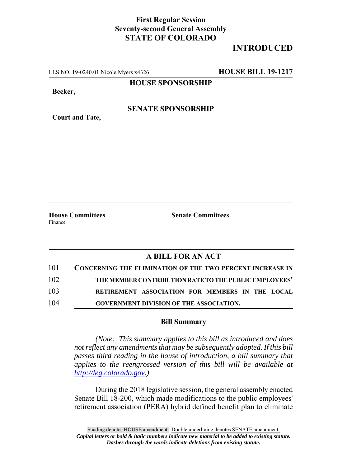## **First Regular Session Seventy-second General Assembly STATE OF COLORADO**

# **INTRODUCED**

LLS NO. 19-0240.01 Nicole Myers x4326 **HOUSE BILL 19-1217**

**HOUSE SPONSORSHIP**

**Becker,**

**Court and Tate,**

#### **SENATE SPONSORSHIP**

Finance

**House Committees Senate Committees** 

### **A BILL FOR AN ACT**

| 101 | <b>CONCERNING THE ELIMINATION OF THE TWO PERCENT INCREASE IN</b> |
|-----|------------------------------------------------------------------|
| 102 | THE MEMBER CONTRIBUTION RATE TO THE PUBLIC EMPLOYEES'            |
| 103 | RETIREMENT ASSOCIATION FOR MEMBERS IN THE LOCAL                  |
| 104 | <b>GOVERNMENT DIVISION OF THE ASSOCIATION.</b>                   |

#### **Bill Summary**

*(Note: This summary applies to this bill as introduced and does not reflect any amendments that may be subsequently adopted. If this bill passes third reading in the house of introduction, a bill summary that applies to the reengrossed version of this bill will be available at http://leg.colorado.gov.)*

During the 2018 legislative session, the general assembly enacted Senate Bill 18-200, which made modifications to the public employees' retirement association (PERA) hybrid defined benefit plan to eliminate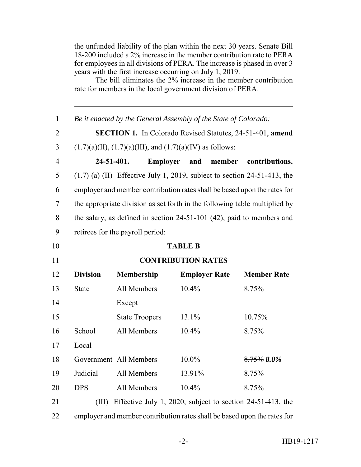the unfunded liability of the plan within the next 30 years. Senate Bill 18-200 included a 2% increase in the member contribution rate to PERA for employees in all divisions of PERA. The increase is phased in over 3 years with the first increase occurring on July 1, 2019.

The bill eliminates the 2% increase in the member contribution rate for members in the local government division of PERA.

| $\mathbf{1}$   | Be it enacted by the General Assembly of the State of Colorado:            |                                                                            |                      |                     |                    |
|----------------|----------------------------------------------------------------------------|----------------------------------------------------------------------------|----------------------|---------------------|--------------------|
| $\overline{2}$ | SECTION 1. In Colorado Revised Statutes, 24-51-401, amend                  |                                                                            |                      |                     |                    |
| 3              | $(1.7)(a)(II), (1.7)(a)(III),$ and $(1.7)(a)(IV)$ as follows:              |                                                                            |                      |                     |                    |
| $\overline{4}$ | 24-51-401.                                                                 |                                                                            |                      | Employer and member | contributions.     |
| 5              |                                                                            | $(1.7)$ (a) (II) Effective July 1, 2019, subject to section 24-51-413, the |                      |                     |                    |
| 6              | employer and member contribution rates shall be based upon the rates for   |                                                                            |                      |                     |                    |
| $\overline{7}$ | the appropriate division as set forth in the following table multiplied by |                                                                            |                      |                     |                    |
| 8              | the salary, as defined in section $24-51-101$ (42), paid to members and    |                                                                            |                      |                     |                    |
| 9              | retirees for the payroll period:                                           |                                                                            |                      |                     |                    |
| 10             | <b>TABLE B</b>                                                             |                                                                            |                      |                     |                    |
| 11             | <b>CONTRIBUTION RATES</b>                                                  |                                                                            |                      |                     |                    |
| 12             | <b>Division</b>                                                            | <b>Membership</b>                                                          | <b>Employer Rate</b> |                     | <b>Member Rate</b> |
| 13             | <b>State</b>                                                               | All Members                                                                | 10.4%                |                     | 8.75%              |
| 14             |                                                                            | Except                                                                     |                      |                     |                    |
| 15             |                                                                            | <b>State Troopers</b>                                                      | 13.1%                |                     | 10.75%             |
| 16             | School                                                                     | All Members                                                                | 10.4%                |                     | 8.75%              |
| 17             | Local                                                                      |                                                                            |                      |                     |                    |
| 18             |                                                                            | Government All Members                                                     | $10.0\%$             |                     | $8.75\%$ $8.0\%$   |
| 19             | Judicial                                                                   | All Members                                                                | 13.91%               |                     | 8.75%              |
| 20             | <b>DPS</b>                                                                 | All Members                                                                | 10.4%                |                     | 8.75%              |
| 21             | (III)                                                                      | Effective July 1, 2020, subject to section 24-51-413, the                  |                      |                     |                    |
| 22             | employer and member contribution rates shall be based upon the rates for   |                                                                            |                      |                     |                    |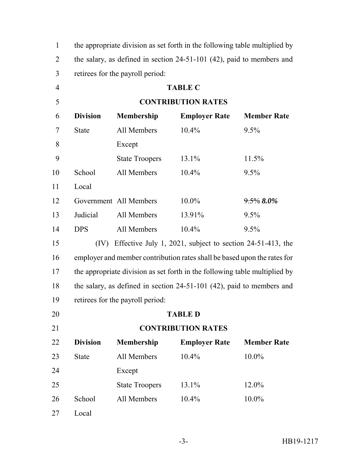| $\mathbf{1}$   | the appropriate division as set forth in the following table multiplied by |                                                                            |                      |                    |  |  |  |  |
|----------------|----------------------------------------------------------------------------|----------------------------------------------------------------------------|----------------------|--------------------|--|--|--|--|
| $\overline{2}$ |                                                                            | the salary, as defined in section 24-51-101 (42), paid to members and      |                      |                    |  |  |  |  |
| 3              | retirees for the payroll period:                                           |                                                                            |                      |                    |  |  |  |  |
| $\overline{4}$ | <b>TABLE C</b>                                                             |                                                                            |                      |                    |  |  |  |  |
| 5              |                                                                            | <b>CONTRIBUTION RATES</b>                                                  |                      |                    |  |  |  |  |
| 6              | <b>Division</b>                                                            | <b>Membership</b>                                                          | <b>Employer Rate</b> | <b>Member Rate</b> |  |  |  |  |
| 7              | <b>State</b>                                                               | All Members                                                                | 10.4%                | 9.5%               |  |  |  |  |
| 8              |                                                                            | Except                                                                     |                      |                    |  |  |  |  |
| 9              |                                                                            | <b>State Troopers</b>                                                      | 13.1%                | 11.5%              |  |  |  |  |
| 10             | School                                                                     | All Members                                                                | 10.4%                | 9.5%               |  |  |  |  |
| 11             | Local                                                                      |                                                                            |                      |                    |  |  |  |  |
| 12             |                                                                            | Government All Members                                                     | 10.0%                | $9.5\%$ 8.0%       |  |  |  |  |
| 13             | Judicial                                                                   | All Members                                                                | 13.91%               | 9.5%               |  |  |  |  |
| 14             | <b>DPS</b>                                                                 | All Members                                                                | 10.4%                | 9.5%               |  |  |  |  |
| 15             | (IV)                                                                       | Effective July 1, 2021, subject to section 24-51-413, the                  |                      |                    |  |  |  |  |
| 16             |                                                                            | employer and member contribution rates shall be based upon the rates for   |                      |                    |  |  |  |  |
| 17             |                                                                            | the appropriate division as set forth in the following table multiplied by |                      |                    |  |  |  |  |
| 18             |                                                                            | the salary, as defined in section $24-51-101$ (42), paid to members and    |                      |                    |  |  |  |  |
| 19             |                                                                            | retirees for the payroll period:                                           |                      |                    |  |  |  |  |
| 20             |                                                                            | <b>TABLE D</b>                                                             |                      |                    |  |  |  |  |
| 21             |                                                                            | <b>CONTRIBUTION RATES</b>                                                  |                      |                    |  |  |  |  |
| 22             | <b>Division</b>                                                            | Membership                                                                 | <b>Employer Rate</b> | <b>Member Rate</b> |  |  |  |  |
| 23             | <b>State</b>                                                               | All Members                                                                | 10.4%                | 10.0%              |  |  |  |  |
| 24             |                                                                            | Except                                                                     |                      |                    |  |  |  |  |
| 25             |                                                                            | <b>State Troopers</b>                                                      | 13.1%                | 12.0%              |  |  |  |  |
| 26             | School                                                                     | All Members                                                                | 10.4%                | 10.0%              |  |  |  |  |
| 27             | Local                                                                      |                                                                            |                      |                    |  |  |  |  |